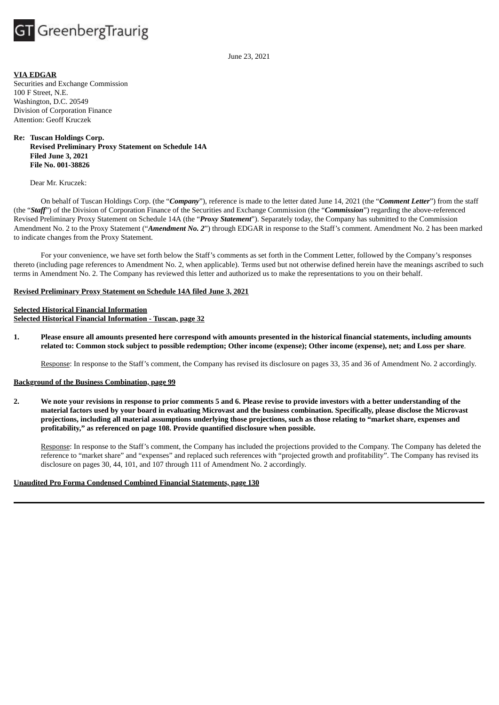

June 23, 2021

## **VIA EDGAR**

Securities and Exchange Commission 100 F Street, N.E. Washington, D.C. 20549 Division of Corporation Finance Attention: Geoff Kruczek

**Re: Tuscan Holdings Corp. Revised Preliminary Proxy Statement on Schedule 14A Filed June 3, 2021 File No. 001-38826**

#### Dear Mr. Kruczek:

On behalf of Tuscan Holdings Corp. (the "*Company*"), reference is made to the letter dated June 14, 2021 (the "*Comment Letter*") from the staff (the "*Staff*") of the Division of Corporation Finance of the Securities and Exchange Commission (the "*Commission*") regarding the above-referenced Revised Preliminary Proxy Statement on Schedule 14A (the "*Proxy Statement*"). Separately today, the Company has submitted to the Commission Amendment No. 2 to the Proxy Statement ("*Amendment No. 2*") through EDGAR in response to the Staff's comment. Amendment No. 2 has been marked to indicate changes from the Proxy Statement.

For your convenience, we have set forth below the Staff's comments as set forth in the Comment Letter, followed by the Company's responses thereto (including page references to Amendment No. 2, when applicable). Terms used but not otherwise defined herein have the meanings ascribed to such terms in Amendment No. 2. The Company has reviewed this letter and authorized us to make the representations to you on their behalf.

# **Revised Preliminary Proxy Statement on Schedule 14A filed June 3, 2021**

## **Selected Historical Financial Information Selected Historical Financial Information - Tuscan, page 32**

1. Please ensure all amounts presented here correspond with amounts presented in the historical financial statements, including amounts related to: Common stock subject to possible redemption; Other income (expense); Other income (expense), net; and Loss per share.

Response: In response to the Staff's comment, the Company has revised its disclosure on pages 33, 35 and 36 of Amendment No. 2 accordingly.

#### **Background of the Business Combination, page 99**

2. We note your revisions in response to prior comments 5 and 6. Please revise to provide investors with a better understanding of the material factors used by your board in evaluating Microvast and the business combination. Specifically, please disclose the Microvast projections, including all material assumptions underlying those projections, such as those relating to "market share, expenses and **profitability," as referenced on page 108. Provide quantified disclosure when possible.**

Response: In response to the Staff's comment, the Company has included the projections provided to the Company. The Company has deleted the reference to "market share" and "expenses" and replaced such references with "projected growth and profitability". The Company has revised its disclosure on pages 30, 44, 101, and 107 through 111 of Amendment No. 2 accordingly.

## **Unaudited Pro Forma Condensed Combined Financial Statements, page 130**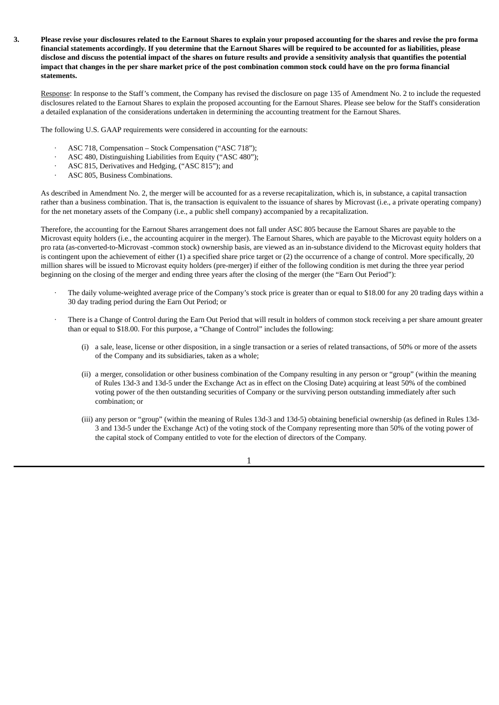3. Please revise your disclosures related to the Earnout Shares to explain your proposed accounting for the shares and revise the pro forma financial statements accordingly. If you determine that the Earnout Shares will be required to be accounted for as liabilities, please disclose and discuss the potential impact of the shares on future results and provide a sensitivity analysis that quantifies the potential impact that changes in the per share market price of the post combination common stock could have on the pro forma financial **statements.**

Response: In response to the Staff's comment, the Company has revised the disclosure on page 135 of Amendment No. 2 to include the requested disclosures related to the Earnout Shares to explain the proposed accounting for the Earnout Shares. Please see below for the Staff's consideration a detailed explanation of the considerations undertaken in determining the accounting treatment for the Earnout Shares.

The following U.S. GAAP requirements were considered in accounting for the earnouts:

- · ASC 718, Compensation – Stock Compensation ("ASC 718");
- · ASC 480, Distinguishing Liabilities from Equity ("ASC 480");
- · ASC 815, Derivatives and Hedging, ("ASC 815"); and
- · ASC 805, Business Combinations.

As described in Amendment No. 2, the merger will be accounted for as a reverse recapitalization, which is, in substance, a capital transaction rather than a business combination. That is, the transaction is equivalent to the issuance of shares by Microvast (i.e., a private operating company) for the net monetary assets of the Company (i.e., a public shell company) accompanied by a recapitalization.

Therefore, the accounting for the Earnout Shares arrangement does not fall under ASC 805 because the Earnout Shares are payable to the Microvast equity holders (i.e., the accounting acquirer in the merger). The Earnout Shares, which are payable to the Microvast equity holders on a pro rata (as-converted-to-Microvast -common stock) ownership basis, are viewed as an in-substance dividend to the Microvast equity holders that is contingent upon the achievement of either (1) a specified share price target or (2) the occurrence of a change of control. More specifically, 20 million shares will be issued to Microvast equity holders (pre-merger) if either of the following condition is met during the three year period beginning on the closing of the merger and ending three years after the closing of the merger (the "Earn Out Period"):

- The daily volume-weighted average price of the Company's stock price is greater than or equal to \$18.00 for any 20 trading days within a 30 day trading period during the Earn Out Period; or
- There is a Change of Control during the Earn Out Period that will result in holders of common stock receiving a per share amount greater than or equal to \$18.00. For this purpose, a "Change of Control" includes the following:
	- (i) a sale, lease, license or other disposition, in a single transaction or a series of related transactions, of 50% or more of the assets of the Company and its subsidiaries, taken as a whole;
	- (ii) a merger, consolidation or other business combination of the Company resulting in any person or "group" (within the meaning of Rules 13d-3 and 13d-5 under the Exchange Act as in effect on the Closing Date) acquiring at least 50% of the combined voting power of the then outstanding securities of Company or the surviving person outstanding immediately after such combination; or
	- (iii) any person or "group" (within the meaning of Rules 13d-3 and 13d-5) obtaining beneficial ownership (as defined in Rules 13d-3 and 13d-5 under the Exchange Act) of the voting stock of the Company representing more than 50% of the voting power of the capital stock of Company entitled to vote for the election of directors of the Company.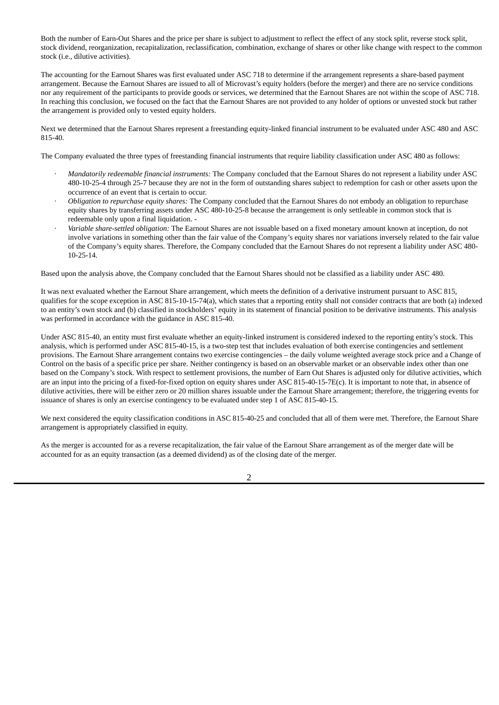Both the number of Earn-Out Shares and the price per share is subject to adjustment to reflect the effect of any stock split, reverse stock split, stock dividend, reorganization, recapitalization, reclassification, combination, exchange of shares or other like change with respect to the common stock (i.e., dilutive activities).

The accounting for the Earnout Shares was first evaluated under ASC 718 to determine if the arrangement represents a share-based payment arrangement. Because the Earnout Shares are issued to all of Microvast's equity holders (before the merger) and there are no service conditions nor any requirement of the participants to provide goods or services, we determined that the Earnout Shares are not within the scope of ASC 718. In reaching this conclusion, we focused on the fact that the Earnout Shares are not provided to any holder of options or unvested stock but rather the arrangement is provided only to vested equity holders.

Next we determined that the Earnout Shares represent a freestanding equity-linked financial instrument to be evaluated under ASC 480 and ASC 815-40.

The Company evaluated the three types of freestanding financial instruments that require liability classification under ASC 480 as follows:

- · *Mandatorily redeemable financial instruments:* The Company concluded that the Earnout Shares do not represent a liability under ASC 480-10-25-4 through 25-7 because they are not in the form of outstanding shares subject to redemption for cash or other assets upon the occurrence of an event that is certain to occur.
- · *Obligation to repurchase equity shares:* The Company concluded that the Earnout Shares do not embody an obligation to repurchase equity shares by transferring assets under ASC 480-10-25-8 because the arrangement is only settleable in common stock that is redeemable only upon a final liquidation. -
- · *Variable share-settled obligation:* The Earnout Shares are not issuable based on a fixed monetary amount known at inception, do not involve variations in something other than the fair value of the Company's equity shares nor variations inversely related to the fair value of the Company's equity shares. Therefore, the Company concluded that the Earnout Shares do not represent a liability under ASC 480- 10-25-14.

Based upon the analysis above, the Company concluded that the Earnout Shares should not be classified as a liability under ASC 480.

It was next evaluated whether the Earnout Share arrangement, which meets the definition of a derivative instrument pursuant to ASC 815, qualifies for the scope exception in ASC 815-10-15-74(a), which states that a reporting entity shall not consider contracts that are both (a) indexed to an entity's own stock and (b) classified in stockholders' equity in its statement of financial position to be derivative instruments. This analysis was performed in accordance with the guidance in ASC 815-40.

Under ASC 815-40, an entity must first evaluate whether an equity-linked instrument is considered indexed to the reporting entity's stock. This analysis, which is performed under ASC 815-40-15, is a two-step test that includes evaluation of both exercise contingencies and settlement provisions. The Earnout Share arrangement contains two exercise contingencies – the daily volume weighted average stock price and a Change of Control on the basis of a specific price per share. Neither contingency is based on an observable market or an observable index other than one based on the Company's stock. With respect to settlement provisions, the number of Earn Out Shares is adjusted only for dilutive activities, which are an input into the pricing of a fixed-for-fixed option on equity shares under ASC 815-40-15-7E(c). It is important to note that, in absence of dilutive activities, there will be either zero or 20 million shares issuable under the Earnout Share arrangement; therefore, the triggering events for issuance of shares is only an exercise contingency to be evaluated under step 1 of ASC 815-40-15.

We next considered the equity classification conditions in ASC 815-40-25 and concluded that all of them were met. Therefore, the Earnout Share arrangement is appropriately classified in equity.

As the merger is accounted for as a reverse recapitalization, the fair value of the Earnout Share arrangement as of the merger date will be accounted for as an equity transaction (as a deemed dividend) as of the closing date of the merger.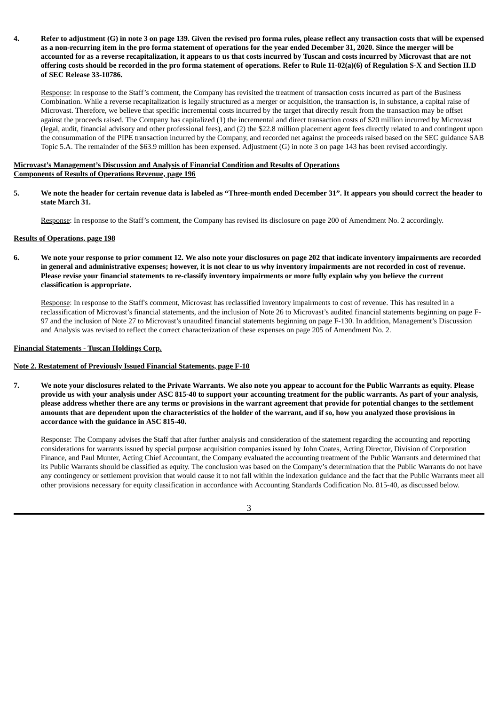## 4. Refer to adjustment (G) in note 3 on page 139. Given the revised pro forma rules, please reflect any transaction costs that will be expensed as a non-recurring item in the pro forma statement of operations for the year ended December 31, 2020. Since the merger will be accounted for as a reverse recapitalization, it appears to us that costs incurred by Tuscan and costs incurred by Microvast that are not offering costs should be recorded in the pro forma statement of operations. Refer to Rule 11-02(a)(6) of Regulation S-X and Section II.D **of SEC Release 33-10786.**

Response: In response to the Staff's comment, the Company has revisited the treatment of transaction costs incurred as part of the Business Combination. While a reverse recapitalization is legally structured as a merger or acquisition, the transaction is, in substance, a capital raise of Microvast. Therefore, we believe that specific incremental costs incurred by the target that directly result from the transaction may be offset against the proceeds raised. The Company has capitalized (1) the incremental and direct transaction costs of \$20 million incurred by Microvast (legal, audit, financial advisory and other professional fees), and (2) the \$22.8 million placement agent fees directly related to and contingent upon the consummation of the PIPE transaction incurred by the Company, and recorded net against the proceeds raised based on the SEC guidance SAB Topic 5.A. The remainder of the \$63.9 million has been expensed. Adjustment (G) in note 3 on page 143 has been revised accordingly.

## **Microvast's Management's Discussion and Analysis of Financial Condition and Results of Operations Components of Results of Operations Revenue, page 196**

5. We note the header for certain revenue data is labeled as "Three-month ended December 31". It appears you should correct the header to **state March 31.**

Response: In response to the Staff's comment, the Company has revised its disclosure on page 200 of Amendment No. 2 accordingly.

#### **Results of Operations, page 198**

6. We note your response to prior comment 12. We also note your disclosures on page 202 that indicate inventory impairments are recorded in general and administrative expenses; however, it is not clear to us why inventory impairments are not recorded in cost of revenue. Please revise your financial statements to re-classify inventory impairments or more fully explain why you believe the current **classification is appropriate.**

Response: In response to the Staff's comment, Microvast has reclassified inventory impairments to cost of revenue. This has resulted in a reclassification of Microvast's financial statements, and the inclusion of Note 26 to Microvast's audited financial statements beginning on page F-97 and the inclusion of Note 27 to Microvast's unaudited financial statements beginning on page F-130. In addition, Management's Discussion and Analysis was revised to reflect the correct characterization of these expenses on page 205 of Amendment No. 2.

## **Financial Statements - Tuscan Holdings Corp.**

#### **Note 2. Restatement of Previously Issued Financial Statements, page F-10**

7. We note your disclosures related to the Private Warrants. We also note you appear to account for the Public Warrants as equity. Please provide us with your analysis under ASC 815-40 to support your accounting treatment for the public warrants. As part of your analysis, please address whether there are any terms or provisions in the warrant agreement that provide for potential changes to the settlement amounts that are dependent upon the characteristics of the holder of the warrant, and if so, how you analyzed those provisions in **accordance with the guidance in ASC 815-40.**

Response: The Company advises the Staff that after further analysis and consideration of the statement regarding the accounting and reporting considerations for warrants issued by special purpose acquisition companies issued by John Coates, Acting Director, Division of Corporation Finance, and Paul Munter, Acting Chief Accountant, the Company evaluated the accounting treatment of the Public Warrants and determined that its Public Warrants should be classified as equity. The conclusion was based on the Company's determination that the Public Warrants do not have any contingency or settlement provision that would cause it to not fall within the indexation guidance and the fact that the Public Warrants meet all other provisions necessary for equity classification in accordance with Accounting Standards Codification No. 815-40, as discussed below.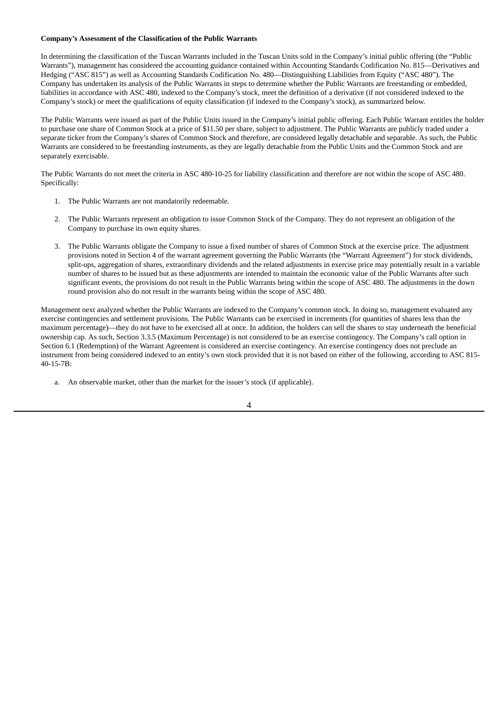#### **Company's Assessment of the Classification of the Public Warrants**

In determining the classification of the Tuscan Warrants included in the Tuscan Units sold in the Company's initial public offering (the "Public Warrants"), management has considered the accounting guidance contained within Accounting Standards Codification No. 815—Derivatives and Hedging ("ASC 815") as well as Accounting Standards Codification No. 480—Distinguishing Liabilities from Equity ("ASC 480"). The Company has undertaken its analysis of the Public Warrants in steps to determine whether the Public Warrants are freestanding or embedded, liabilities in accordance with ASC 480, indexed to the Company's stock, meet the definition of a derivative (if not considered indexed to the Company's stock) or meet the qualifications of equity classification (if indexed to the Company's stock), as summarized below.

The Public Warrants were issued as part of the Public Units issued in the Company's initial public offering. Each Public Warrant entitles the holder to purchase one share of Common Stock at a price of \$11.50 per share, subject to adjustment. The Public Warrants are publicly traded under a separate ticker from the Company's shares of Common Stock and therefore, are considered legally detachable and separable. As such, the Public Warrants are considered to be freestanding instruments, as they are legally detachable from the Public Units and the Common Stock and are separately exercisable.

The Public Warrants do not meet the criteria in ASC 480-10-25 for liability classification and therefore are not within the scope of ASC 480. Specifically:

- 1. The Public Warrants are not mandatorily redeemable.
- 2. The Public Warrants represent an obligation to issue Common Stock of the Company. They do not represent an obligation of the Company to purchase its own equity shares.
- 3. The Public Warrants obligate the Company to issue a fixed number of shares of Common Stock at the exercise price. The adjustment provisions noted in Section 4 of the warrant agreement governing the Public Warrants (the "Warrant Agreement") for stock dividends, split-ups, aggregation of shares, extraordinary dividends and the related adjustments in exercise price may potentially result in a variable number of shares to be issued but as these adjustments are intended to maintain the economic value of the Public Warrants after such significant events, the provisions do not result in the Public Warrants being within the scope of ASC 480. The adjustments in the down round provision also do not result in the warrants being within the scope of ASC 480.

Management next analyzed whether the Public Warrants are indexed to the Company's common stock. In doing so, management evaluated any exercise contingencies and settlement provisions. The Public Warrants can be exercised in increments (for quantities of shares less than the maximum percentage)—they do not have to be exercised all at once. In addition, the holders can sell the shares to stay underneath the beneficial ownership cap. As such, Section 3.3.5 (Maximum Percentage) is not considered to be an exercise contingency. The Company's call option in Section 6.1 (Redemption) of the Warrant Agreement is considered an exercise contingency. An exercise contingency does not preclude an instrument from being considered indexed to an entity's own stock provided that it is not based on either of the following, according to ASC 815- 40-15-7B:

a. An observable market, other than the market for the issuer's stock (if applicable).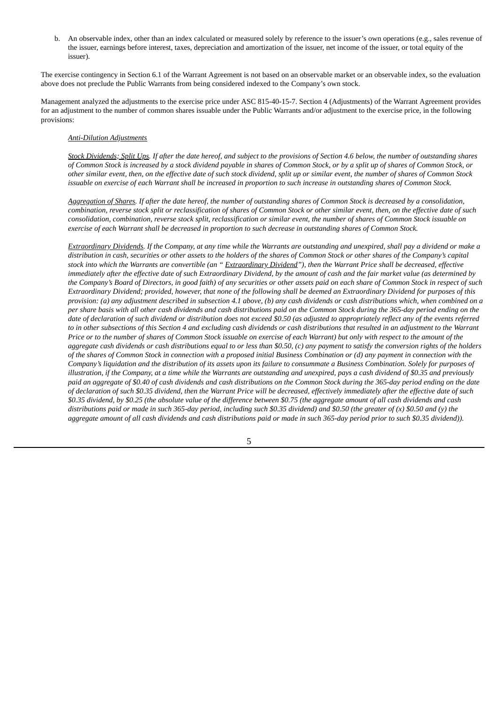b. An observable index, other than an index calculated or measured solely by reference to the issuer's own operations (e.g., sales revenue of the issuer, earnings before interest, taxes, depreciation and amortization of the issuer, net income of the issuer, or total equity of the issuer).

The exercise contingency in Section 6.1 of the Warrant Agreement is not based on an observable market or an observable index, so the evaluation above does not preclude the Public Warrants from being considered indexed to the Company's own stock.

Management analyzed the adjustments to the exercise price under ASC 815-40-15-7. Section 4 (Adjustments) of the Warrant Agreement provides for an adjustment to the number of common shares issuable under the Public Warrants and/or adjustment to the exercise price, in the following provisions:

#### *Anti-Dilution Adjustments*

Stock Dividends; Split Ups. If after the date hereof, and subject to the provisions of Section 4.6 below, the number of outstanding shares of Common Stock is increased by a stock dividend payable in shares of Common Stock, or by a split up of shares of Common Stock, or other similar event, then, on the effective date of such stock dividend, split up or similar event, the number of shares of Common Stock issuable on exercise of each Warrant shall be increased in proportion to such increase in outstanding shares of Common Stock.

Aggregation of Shares. If after the date hereof, the number of outstanding shares of Common Stock is decreased by a consolidation, combination, reverse stock split or reclassification of shares of Common Stock or other similar event, then, on the effective date of such consolidation, combination, reverse stock split, reclassification or similar event, the number of shares of Common Stock issuable on exercise of each Warrant shall be decreased in proportion to such decrease in outstanding shares of Common Stock.

Extraordinary Dividends. If the Company, at any time while the Warrants are outstanding and unexpired, shall pay a dividend or make a distribution in cash, securities or other assets to the holders of the shares of Common Stock or other shares of the Company's capital stock into which the Warrants are convertible (an "Extraordinary Dividend"), then the Warrant Price shall be decreased, effective immediately after the effective date of such Extraordinary Dividend, by the amount of cash and the fair market value (as determined by the Company's Board of Directors, in good faith) of any securities or other assets paid on each share of Common Stock in respect of such Extraordinary Dividend; provided, however, that none of the following shall be deemed an Extraordinary Dividend for purposes of this provision: (a) any adjustment described in subsection 4.1 above, (b) any cash dividends or cash distributions which, when combined on a per share basis with all other cash dividends and cash distributions paid on the Common Stock during the 365-day period ending on the date of declaration of such dividend or distribution does not exceed \$0.50 (as adjusted to appropriately reflect any of the events referred to in other subsections of this Section 4 and excluding cash dividends or cash distributions that resulted in an adjustment to the Warrant Price or to the number of shares of Common Stock issuable on exercise of each Warrant) but only with respect to the amount of the aggregate cash dividends or cash distributions equal to or less than \$0.50, (c) any payment to satisfy the conversion rights of the holders of the shares of Common Stock in connection with a proposed initial Business Combination or (d) any payment in connection with the Company's liquidation and the distribution of its assets upon its failure to consummate a Business Combination. Solely for purposes of illustration, if the Company, at a time while the Warrants are outstanding and unexpired, pays a cash dividend of \$0.35 and previously paid an aggregate of \$0.40 of cash dividends and cash distributions on the Common Stock during the 365-day period ending on the date of declaration of such \$0.35 dividend, then the Warrant Price will be decreased, effectively immediately after the effective date of such \$0.35 dividend, by \$0.25 (the absolute value of the difference between \$0.75 (the aggregate amount of all cash dividends and cash distributions paid or made in such 365-day period, including such \$0.35 dividend) and \$0.50 (the greater of  $(x)$  \$0.50 and  $(y)$  the aggregate amount of all cash dividends and cash distributions paid or made in such 365-day period prior to such \$0.35 dividend)).

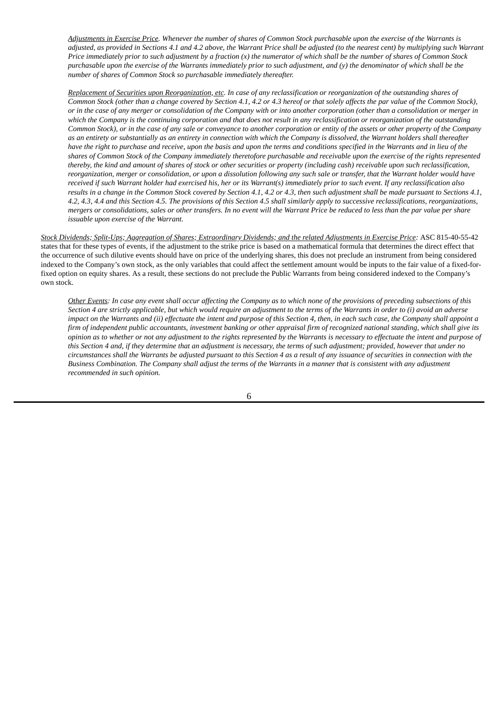Adjustments in Exercise Price. Whenever the number of shares of Common Stock purchasable upon the exercise of the Warrants is adjusted, as provided in Sections 4.1 and 4.2 above, the Warrant Price shall be adjusted (to the nearest cent) by multiplying such Warrant Price immediately prior to such adjustment by a fraction  $(x)$  the numerator of which shall be the number of shares of Common Stock purchasable upon the exercise of the Warrants immediately prior to such adjustment, and (y) the denominator of which shall be the *number of shares of Common Stock so purchasable immediately thereafter.*

Replacement of Securities upon Reorganization, etc. In case of any reclassification or reorganization of the outstanding shares of Common Stock (other than a change covered by Section 4.1, 4.2 or 4.3 hereof or that solely affects the par value of the Common Stock), or in the case of any merger or consolidation of the Company with or into another corporation (other than a consolidation or merger in which the Company is the continuing corporation and that does not result in any reclassification or reorganization of the outstanding Common Stock), or in the case of any sale or conveyance to another corporation or entity of the assets or other property of the Company as an entirety or substantially as an entirety in connection with which the Company is dissolved, the Warrant holders shall thereafter have the right to purchase and receive, upon the basis and upon the terms and conditions specified in the Warrants and in lieu of the shares of Common Stock of the Company immediately theretofore purchasable and receivable upon the exercise of the rights represented thereby, the kind and amount of shares of stock or other securities or property (including cash) receivable upon such reclassification, reorganization, merger or consolidation, or upon a dissolution following any such sale or transfer, that the Warrant holder would have received if such Warrant holder had exercised his, her or its Warrant(s) immediately prior to such event. If any reclassification also results in a change in the Common Stock covered by Section 4.1, 4.2 or 4.3, then such adjustment shall be made pursuant to Sections 4.1, 4.2, 4.3, 4.4 and this Section 4.5. The provisions of this Section 4.5 shall similarly apply to successive reclassifications, reorganizations, mergers or consolidations, sales or other transfers. In no event will the Warrant Price be reduced to less than the par value per share *issuable upon exercise of the Warrant.*

Stock Dividends: Split-Ups; Aggregation of Shares; Extraordinary Dividends; and the related Adjustments in Exercise Price: ASC 815-40-55-42 states that for these types of events, if the adjustment to the strike price is based on a mathematical formula that determines the direct effect that the occurrence of such dilutive events should have on price of the underlying shares, this does not preclude an instrument from being considered indexed to the Company's own stock, as the only variables that could affect the settlement amount would be inputs to the fair value of a fixed-forfixed option on equity shares. As a result, these sections do not preclude the Public Warrants from being considered indexed to the Company's own stock.

Other Events: In case any event shall occur affecting the Company as to which none of the provisions of preceding subsections of this Section 4 are strictly applicable, but which would require an adjustment to the terms of the Warrants in order to (i) avoid an adverse impact on the Warrants and (ii) effectuate the intent and purpose of this Section 4, then, in each such case, the Company shall appoint a firm of independent public accountants, investment banking or other appraisal firm of recognized national standing, which shall give its opinion as to whether or not any adjustment to the rights represented by the Warrants is necessary to effectuate the intent and purpose of this Section 4 and, if they determine that an adjustment is necessary, the terms of such adjustment; provided, however that under no circumstances shall the Warrants be adjusted pursuant to this Section 4 as a result of any issuance of securities in connection with the Business Combination. The Company shall adjust the terms of the Warrants in a manner that is consistent with any adjustment *recommended in such opinion.*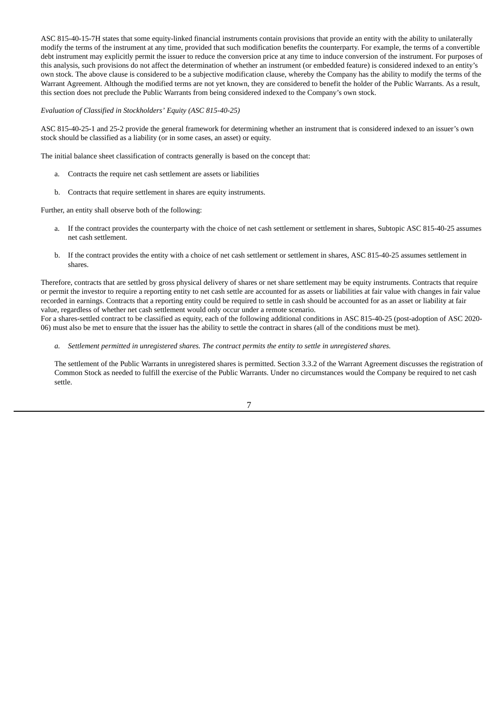ASC 815-40-15-7H states that some equity-linked financial instruments contain provisions that provide an entity with the ability to unilaterally modify the terms of the instrument at any time, provided that such modification benefits the counterparty. For example, the terms of a convertible debt instrument may explicitly permit the issuer to reduce the conversion price at any time to induce conversion of the instrument. For purposes of this analysis, such provisions do not affect the determination of whether an instrument (or embedded feature) is considered indexed to an entity's own stock. The above clause is considered to be a subjective modification clause, whereby the Company has the ability to modify the terms of the Warrant Agreement. Although the modified terms are not yet known, they are considered to benefit the holder of the Public Warrants. As a result, this section does not preclude the Public Warrants from being considered indexed to the Company's own stock.

*Evaluation of Classified in Stockholders' Equity (ASC 815-40-25)*

ASC 815-40-25-1 and 25-2 provide the general framework for determining whether an instrument that is considered indexed to an issuer's own stock should be classified as a liability (or in some cases, an asset) or equity.

The initial balance sheet classification of contracts generally is based on the concept that:

- a. Contracts the require net cash settlement are assets or liabilities
- b. Contracts that require settlement in shares are equity instruments.

Further, an entity shall observe both of the following:

- a. If the contract provides the counterparty with the choice of net cash settlement or settlement in shares, Subtopic ASC 815-40-25 assumes net cash settlement.
- b. If the contract provides the entity with a choice of net cash settlement or settlement in shares, ASC 815-40-25 assumes settlement in shares.

Therefore, contracts that are settled by gross physical delivery of shares or net share settlement may be equity instruments. Contracts that require or permit the investor to require a reporting entity to net cash settle are accounted for as assets or liabilities at fair value with changes in fair value recorded in earnings. Contracts that a reporting entity could be required to settle in cash should be accounted for as an asset or liability at fair value, regardless of whether net cash settlement would only occur under a remote scenario.

For a shares-settled contract to be classified as equity, each of the following additional conditions in ASC 815-40-25 (post-adoption of ASC 2020- 06) must also be met to ensure that the issuer has the ability to settle the contract in shares (all of the conditions must be met).

a. Settlement permitted in unregistered shares. The contract permits the entity to settle in unregistered shares.

The settlement of the Public Warrants in unregistered shares is permitted. Section 3.3.2 of the Warrant Agreement discusses the registration of Common Stock as needed to fulfill the exercise of the Public Warrants. Under no circumstances would the Company be required to net cash settle.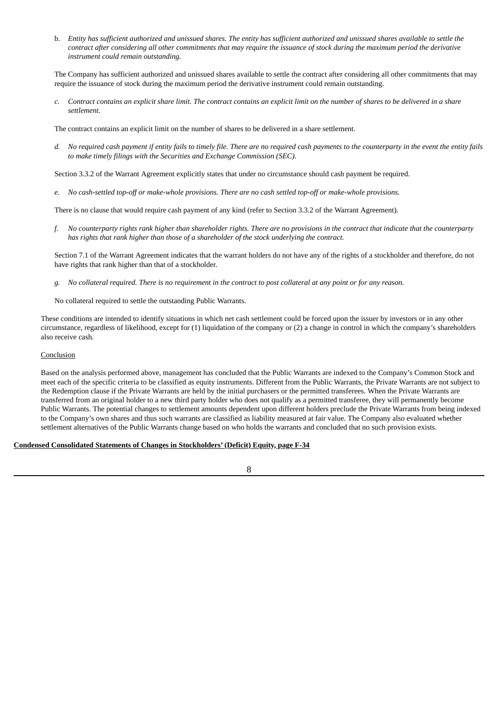b. Entity has sufficient authorized and unissued shares. The entity has sufficient authorized and unissued shares available to settle the contract after considering all other commitments that may require the issuance of stock during the maximum period the derivative *instrument could remain outstanding.*

The Company has sufficient authorized and unissued shares available to settle the contract after considering all other commitments that may require the issuance of stock during the maximum period the derivative instrument could remain outstanding.

c. Contract contains an explicit share limit. The contract contains an explicit limit on the number of shares to be delivered in a share *settlement.*

The contract contains an explicit limit on the number of shares to be delivered in a share settlement.

d. No required cash payment if entity fails to timely file. There are no required cash payments to the counterparty in the event the entity fails *to make timely filings with the Securities and Exchange Commission (SEC).*

Section 3.3.2 of the Warrant Agreement explicitly states that under no circumstance should cash payment be required.

*e. No cash-settled top-off or make-whole provisions. There are no cash settled top-off or make-whole provisions.*

There is no clause that would require cash payment of any kind (refer to Section 3.3.2 of the Warrant Agreement).

f. No counterparty rights rank higher than shareholder rights. There are no provisions in the contract that indicate that the counterparty *has rights that rank higher than those of a shareholder of the stock underlying the contract.*

Section 7.1 of the Warrant Agreement indicates that the warrant holders do not have any of the rights of a stockholder and therefore, do not have rights that rank higher than that of a stockholder.

q. No collateral required. There is no requirement in the contract to post collateral at any point or for any reason.

No collateral required to settle the outstanding Public Warrants.

These conditions are intended to identify situations in which net cash settlement could be forced upon the issuer by investors or in any other circumstance, regardless of likelihood, except for (1) liquidation of the company or (2) a change in control in which the company's shareholders also receive cash.

## Conclusion

Based on the analysis performed above, management has concluded that the Public Warrants are indexed to the Company's Common Stock and meet each of the specific criteria to be classified as equity instruments. Different from the Public Warrants, the Private Warrants are not subject to the Redemption clause if the Private Warrants are held by the initial purchasers or the permitted transferees. When the Private Warrants are transferred from an original holder to a new third party holder who does not qualify as a permitted transferee, they will permanently become Public Warrants. The potential changes to settlement amounts dependent upon different holders preclude the Private Warrants from being indexed to the Company's own shares and thus such warrants are classified as liability measured at fair value. The Company also evaluated whether settlement alternatives of the Public Warrants change based on who holds the warrants and concluded that no such provision exists.

## **Condensed Consolidated Statements of Changes in Stockholders' (Deficit) Equity, page F-34**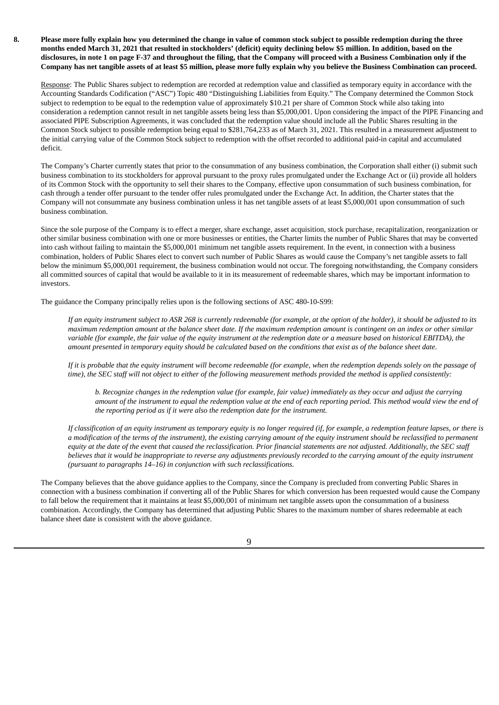8. Please more fully explain how you determined the change in value of common stock subject to possible redemption during the three months ended March 31, 2021 that resulted in stockholders' (deficit) equity declining below \$5 million. In addition, based on the disclosures, in note 1 on page F-37 and throughout the filing, that the Company will proceed with a Business Combination only if the Company has net tangible assets of at least \$5 million, please more fully explain why you believe the Business Combination can proceed.

Response: The Public Shares subject to redemption are recorded at redemption value and classified as temporary equity in accordance with the Accounting Standards Codification ("ASC") Topic 480 "Distinguishing Liabilities from Equity." The Company determined the Common Stock subject to redemption to be equal to the redemption value of approximately \$10.21 per share of Common Stock while also taking into consideration a redemption cannot result in net tangible assets being less than \$5,000,001. Upon considering the impact of the PIPE Financing and associated PIPE Subscription Agreements, it was concluded that the redemption value should include all the Public Shares resulting in the Common Stock subject to possible redemption being equal to \$281,764,233 as of March 31, 2021. This resulted in a measurement adjustment to the initial carrying value of the Common Stock subject to redemption with the offset recorded to additional paid-in capital and accumulated deficit.

The Company's Charter currently states that prior to the consummation of any business combination, the Corporation shall either (i) submit such business combination to its stockholders for approval pursuant to the proxy rules promulgated under the Exchange Act or (ii) provide all holders of its Common Stock with the opportunity to sell their shares to the Company, effective upon consummation of such business combination, for cash through a tender offer pursuant to the tender offer rules promulgated under the Exchange Act. In addition, the Charter states that the Company will not consummate any business combination unless it has net tangible assets of at least \$5,000,001 upon consummation of such business combination.

Since the sole purpose of the Company is to effect a merger, share exchange, asset acquisition, stock purchase, recapitalization, reorganization or other similar business combination with one or more businesses or entities, the Charter limits the number of Public Shares that may be converted into cash without failing to maintain the \$5,000,001 minimum net tangible assets requirement. In the event, in connection with a business combination, holders of Public Shares elect to convert such number of Public Shares as would cause the Company's net tangible assets to fall below the minimum \$5,000,001 requirement, the business combination would not occur. The foregoing notwithstanding, the Company considers all committed sources of capital that would be available to it in its measurement of redeemable shares, which may be important information to investors.

The guidance the Company principally relies upon is the following sections of ASC 480-10-S99:

If an equity instrument subject to ASR 268 is currently redeemable (for example, at the option of the holder), it should be adjusted to its maximum redemption amount at the balance sheet date. If the maximum redemption amount is contingent on an index or other similar variable (for example, the fair value of the equity instrument at the redemption date or a measure based on historical EBITDA), the amount presented in temporary equity should be calculated based on the conditions that exist as of the balance sheet date.

If it is probable that the equity instrument will become redeemable (for example, when the redemption depends solely on the passage of time), the SEC staff will not object to either of the following measurement methods provided the method is applied consistently:

b. Recognize changes in the redemption value (for example, fair value) immediately as they occur and adjust the carrying amount of the instrument to equal the redemption value at the end of each reporting period. This method would view the end of *the reporting period as if it were also the redemption date for the instrument.*

If classification of an equity instrument as temporary equity is no longer required (if, for example, a redemption feature lapses, or there is a modification of the terms of the instrument), the existing carrying amount of the equity instrument should be reclassified to permanent equity at the date of the event that caused the reclassification. Prior financial statements are not adjusted. Additionally, the SEC staff believes that it would be inappropriate to reverse any adjustments previously recorded to the carrying amount of the equity instrument *(pursuant to paragraphs 14–16) in conjunction with such reclassifications.*

The Company believes that the above guidance applies to the Company, since the Company is precluded from converting Public Shares in connection with a business combination if converting all of the Public Shares for which conversion has been requested would cause the Company to fall below the requirement that it maintains at least \$5,000,001 of minimum net tangible assets upon the consummation of a business combination. Accordingly, the Company has determined that adjusting Public Shares to the maximum number of shares redeemable at each balance sheet date is consistent with the above guidance.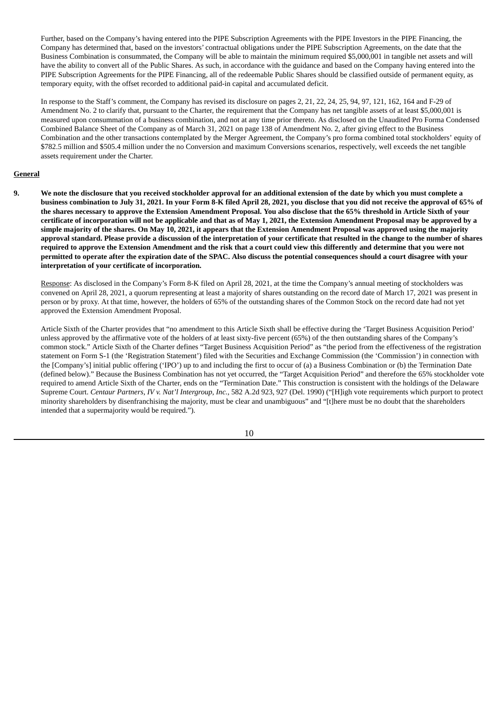Further, based on the Company's having entered into the PIPE Subscription Agreements with the PIPE Investors in the PIPE Financing, the Company has determined that, based on the investors' contractual obligations under the PIPE Subscription Agreements, on the date that the Business Combination is consummated, the Company will be able to maintain the minimum required \$5,000,001 in tangible net assets and will have the ability to convert all of the Public Shares. As such, in accordance with the guidance and based on the Company having entered into the PIPE Subscription Agreements for the PIPE Financing, all of the redeemable Public Shares should be classified outside of permanent equity, as temporary equity, with the offset recorded to additional paid-in capital and accumulated deficit.

In response to the Staff's comment, the Company has revised its disclosure on pages 2, 21, 22, 24, 25, 94, 97, 121, 162, 164 and F-29 of Amendment No. 2 to clarify that, pursuant to the Charter, the requirement that the Company has net tangible assets of at least \$5,000,001 is measured upon consummation of a business combination, and not at any time prior thereto. As disclosed on the Unaudited Pro Forma Condensed Combined Balance Sheet of the Company as of March 31, 2021 on page 138 of Amendment No. 2, after giving effect to the Business Combination and the other transactions contemplated by the Merger Agreement, the Company's pro forma combined total stockholders' equity of \$782.5 million and \$505.4 million under the no Conversion and maximum Conversions scenarios, respectively, well exceeds the net tangible assets requirement under the Charter.

## **General**

9. We note the disclosure that you received stockholder approval for an additional extension of the date by which you must complete a business combination to July 31, 2021. In your Form 8-K filed April 28, 2021, you disclose that you did not receive the approval of 65% of the shares necessary to approve the Extension Amendment Proposal. You also disclose that the 65% threshold in Article Sixth of your certificate of incorporation will not be applicable and that as of May 1, 2021, the Extension Amendment Proposal may be approved by a simple majority of the shares. On May 10, 2021, it appears that the Extension Amendment Proposal was approved using the majority approval standard. Please provide a discussion of the interpretation of your certificate that resulted in the change to the number of shares required to approve the Extension Amendment and the risk that a court could view this differently and determine that you were not permitted to operate after the expiration date of the SPAC. Also discuss the potential consequences should a court disagree with your **interpretation of your certificate of incorporation.**

Response: As disclosed in the Company's Form 8-K filed on April 28, 2021, at the time the Company's annual meeting of stockholders was convened on April 28, 2021, a quorum representing at least a majority of shares outstanding on the record date of March 17, 2021 was present in person or by proxy. At that time, however, the holders of 65% of the outstanding shares of the Common Stock on the record date had not yet approved the Extension Amendment Proposal.

Article Sixth of the Charter provides that "no amendment to this Article Sixth shall be effective during the 'Target Business Acquisition Period' unless approved by the affirmative vote of the holders of at least sixty-five percent (65%) of the then outstanding shares of the Company's common stock." Article Sixth of the Charter defines "Target Business Acquisition Period" as "the period from the effectiveness of the registration statement on Form S-1 (the 'Registration Statement') filed with the Securities and Exchange Commission (the 'Commission') in connection with the [Company's] initial public offering ('IPO') up to and including the first to occur of (a) a Business Combination or (b) the Termination Date (defined below)." Because the Business Combination has not yet occurred, the "Target Acquisition Period" and therefore the 65% stockholder vote required to amend Article Sixth of the Charter, ends on the "Termination Date." This construction is consistent with the holdings of the Delaware Supreme Court. *Centaur Partners, IV v. Nat'l Intergroup, Inc.*, 582 A.2d 923, 927 (Del. 1990) ("[H]igh vote requirements which purport to protect minority shareholders by disenfranchising the majority, must be clear and unambiguous" and "[t]here must be no doubt that the shareholders intended that a supermajority would be required.").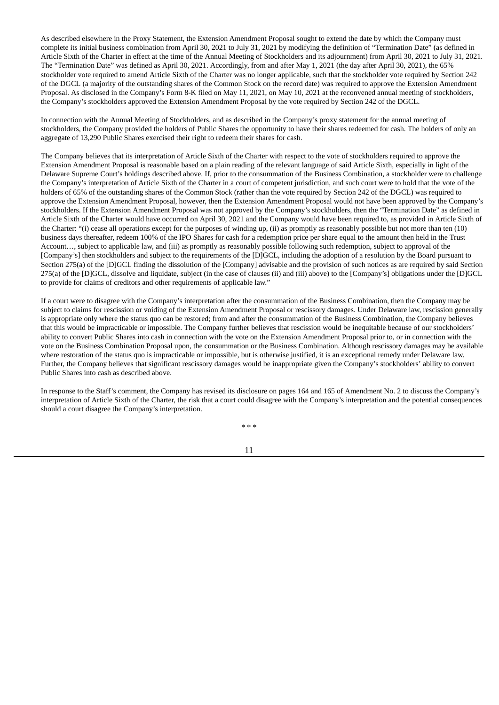As described elsewhere in the Proxy Statement, the Extension Amendment Proposal sought to extend the date by which the Company must complete its initial business combination from April 30, 2021 to July 31, 2021 by modifying the definition of "Termination Date" (as defined in Article Sixth of the Charter in effect at the time of the Annual Meeting of Stockholders and its adjournment) from April 30, 2021 to July 31, 2021. The "Termination Date" was defined as April 30, 2021. Accordingly, from and after May 1, 2021 (the day after April 30, 2021), the 65% stockholder vote required to amend Article Sixth of the Charter was no longer applicable, such that the stockholder vote required by Section 242 of the DGCL (a majority of the outstanding shares of the Common Stock on the record date) was required to approve the Extension Amendment Proposal. As disclosed in the Company's Form 8-K filed on May 11, 2021, on May 10, 2021 at the reconvened annual meeting of stockholders, the Company's stockholders approved the Extension Amendment Proposal by the vote required by Section 242 of the DGCL.

In connection with the Annual Meeting of Stockholders, and as described in the Company's proxy statement for the annual meeting of stockholders, the Company provided the holders of Public Shares the opportunity to have their shares redeemed for cash. The holders of only an aggregate of 13,290 Public Shares exercised their right to redeem their shares for cash.

The Company believes that its interpretation of Article Sixth of the Charter with respect to the vote of stockholders required to approve the Extension Amendment Proposal is reasonable based on a plain reading of the relevant language of said Article Sixth, especially in light of the Delaware Supreme Court's holdings described above. If, prior to the consummation of the Business Combination, a stockholder were to challenge the Company's interpretation of Article Sixth of the Charter in a court of competent jurisdiction, and such court were to hold that the vote of the holders of 65% of the outstanding shares of the Common Stock (rather than the vote required by Section 242 of the DGCL) was required to approve the Extension Amendment Proposal, however, then the Extension Amendment Proposal would not have been approved by the Company's stockholders. If the Extension Amendment Proposal was not approved by the Company's stockholders, then the "Termination Date" as defined in Article Sixth of the Charter would have occurred on April 30, 2021 and the Company would have been required to, as provided in Article Sixth of the Charter: "(i) cease all operations except for the purposes of winding up, (ii) as promptly as reasonably possible but not more than ten (10) business days thereafter, redeem 100% of the IPO Shares for cash for a redemption price per share equal to the amount then held in the Trust Account…, subject to applicable law, and (iii) as promptly as reasonably possible following such redemption, subject to approval of the [Company's] then stockholders and subject to the requirements of the [D]GCL, including the adoption of a resolution by the Board pursuant to Section 275(a) of the [D]GCL finding the dissolution of the [Company] advisable and the provision of such notices as are required by said Section 275(a) of the [D]GCL, dissolve and liquidate, subject (in the case of clauses (ii) and (iii) above) to the [Company's] obligations under the [D]GCL to provide for claims of creditors and other requirements of applicable law."

If a court were to disagree with the Company's interpretation after the consummation of the Business Combination, then the Company may be subject to claims for rescission or voiding of the Extension Amendment Proposal or rescissory damages. Under Delaware law, rescission generally is appropriate only where the status quo can be restored; from and after the consummation of the Business Combination, the Company believes that this would be impracticable or impossible. The Company further believes that rescission would be inequitable because of our stockholders' ability to convert Public Shares into cash in connection with the vote on the Extension Amendment Proposal prior to, or in connection with the vote on the Business Combination Proposal upon, the consummation or the Business Combination. Although rescissory damages may be available where restoration of the status quo is impracticable or impossible, but is otherwise justified, it is an exceptional remedy under Delaware law. Further, the Company believes that significant rescissory damages would be inappropriate given the Company's stockholders' ability to convert Public Shares into cash as described above.

In response to the Staff's comment, the Company has revised its disclosure on pages 164 and 165 of Amendment No. 2 to discuss the Company's interpretation of Article Sixth of the Charter, the risk that a court could disagree with the Company's interpretation and the potential consequences should a court disagree the Company's interpretation.

\* \* \*